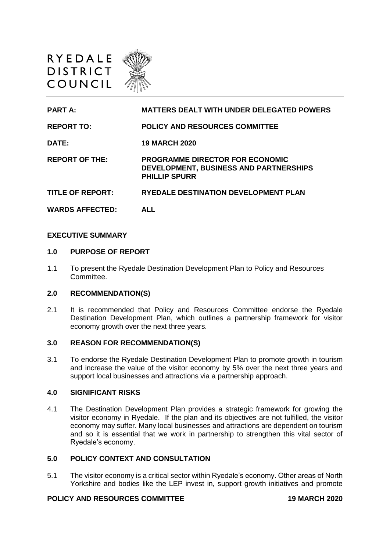



### **EXECUTIVE SUMMARY**

#### **1.0 PURPOSE OF REPORT**

1.1 To present the Ryedale Destination Development Plan to Policy and Resources Committee.

### **2.0 RECOMMENDATION(S)**

2.1 It is recommended that Policy and Resources Committee endorse the Ryedale Destination Development Plan, which outlines a partnership framework for visitor economy growth over the next three years.

### **3.0 REASON FOR RECOMMENDATION(S)**

3.1 To endorse the Ryedale Destination Development Plan to promote growth in tourism and increase the value of the visitor economy by 5% over the next three years and support local businesses and attractions via a partnership approach.

#### **4.0 SIGNIFICANT RISKS**

4.1 The Destination Development Plan provides a strategic framework for growing the visitor economy in Ryedale. If the plan and its objectives are not fulfilled, the visitor economy may suffer. Many local businesses and attractions are dependent on tourism and so it is essential that we work in partnership to strengthen this vital sector of Ryedale's economy.

## **5.0 POLICY CONTEXT AND CONSULTATION**

5.1 The visitor economy is a critical sector within Ryedale's economy. Other areas of North Yorkshire and bodies like the LEP invest in, support growth initiatives and promote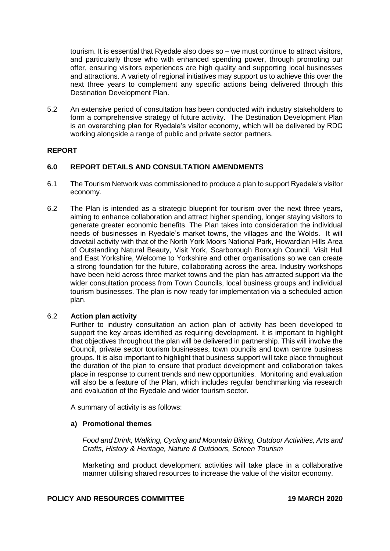tourism. It is essential that Ryedale also does so – we must continue to attract visitors, and particularly those who with enhanced spending power, through promoting our offer, ensuring visitors experiences are high quality and supporting local businesses and attractions. A variety of regional initiatives may support us to achieve this over the next three years to complement any specific actions being delivered through this Destination Development Plan.

5.2 An extensive period of consultation has been conducted with industry stakeholders to form a comprehensive strategy of future activity. The Destination Development Plan is an overarching plan for Ryedale's visitor economy, which will be delivered by RDC working alongside a range of public and private sector partners.

# **REPORT**

# **6.0 REPORT DETAILS AND CONSULTATION AMENDMENTS**

- 6.1 The Tourism Network was commissioned to produce a plan to support Ryedale's visitor economy.
- 6.2 The Plan is intended as a strategic blueprint for tourism over the next three years, aiming to enhance collaboration and attract higher spending, longer staying visitors to generate greater economic benefits. The Plan takes into consideration the individual needs of businesses in Ryedale's market towns, the villages and the Wolds. It will dovetail activity with that of the North York Moors National Park, Howardian Hills Area of Outstanding Natural Beauty, Visit York, Scarborough Borough Council, Visit Hull and East Yorkshire, Welcome to Yorkshire and other organisations so we can create a strong foundation for the future, collaborating across the area. Industry workshops have been held across three market towns and the plan has attracted support via the wider consultation process from Town Councils, local business groups and individual tourism businesses. The plan is now ready for implementation via a scheduled action plan.

## 6.2 **Action plan activity**

Further to industry consultation an action plan of activity has been developed to support the key areas identified as requiring development. It is important to highlight that objectives throughout the plan will be delivered in partnership. This will involve the Council, private sector tourism businesses, town councils and town centre business groups. It is also important to highlight that business support will take place throughout the duration of the plan to ensure that product development and collaboration takes place in response to current trends and new opportunities. Monitoring and evaluation will also be a feature of the Plan, which includes regular benchmarking via research and evaluation of the Ryedale and wider tourism sector.

A summary of activity is as follows:

## **a) Promotional themes**

*Food and Drink, Walking, Cycling and Mountain Biking, Outdoor Activities, Arts and Crafts, History & Heritage, Nature & Outdoors, Screen Tourism* 

Marketing and product development activities will take place in a collaborative manner utilising shared resources to increase the value of the visitor economy.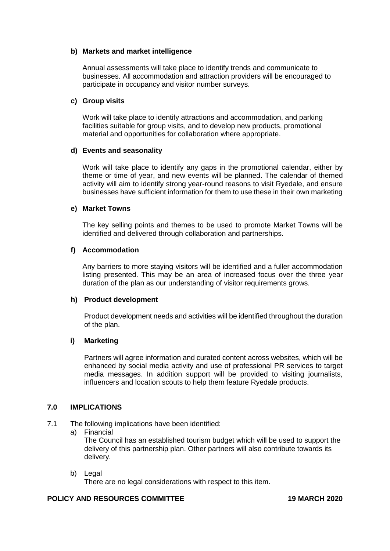## **b) Markets and market intelligence**

Annual assessments will take place to identify trends and communicate to businesses. All accommodation and attraction providers will be encouraged to participate in occupancy and visitor number surveys.

## **c) Group visits**

Work will take place to identify attractions and accommodation, and parking facilities suitable for group visits, and to develop new products, promotional material and opportunities for collaboration where appropriate.

# **d) Events and seasonality**

Work will take place to identify any gaps in the promotional calendar, either by theme or time of year, and new events will be planned. The calendar of themed activity will aim to identify strong year-round reasons to visit Ryedale, and ensure businesses have sufficient information for them to use these in their own marketing

# **e) Market Towns**

The key selling points and themes to be used to promote Market Towns will be identified and delivered through collaboration and partnerships.

# **f) Accommodation**

Any barriers to more staying visitors will be identified and a fuller accommodation listing presented. This may be an area of increased focus over the three year duration of the plan as our understanding of visitor requirements grows.

## **h) Product development**

Product development needs and activities will be identified throughout the duration of the plan.

# **i) Marketing**

Partners will agree information and curated content across websites, which will be enhanced by social media activity and use of professional PR services to target media messages. In addition support will be provided to visiting journalists, influencers and location scouts to help them feature Ryedale products.

## **7.0 IMPLICATIONS**

- 7.1 The following implications have been identified:
	- a) Financial

The Council has an established tourism budget which will be used to support the delivery of this partnership plan. Other partners will also contribute towards its delivery.

b) Legal

There are no legal considerations with respect to this item.